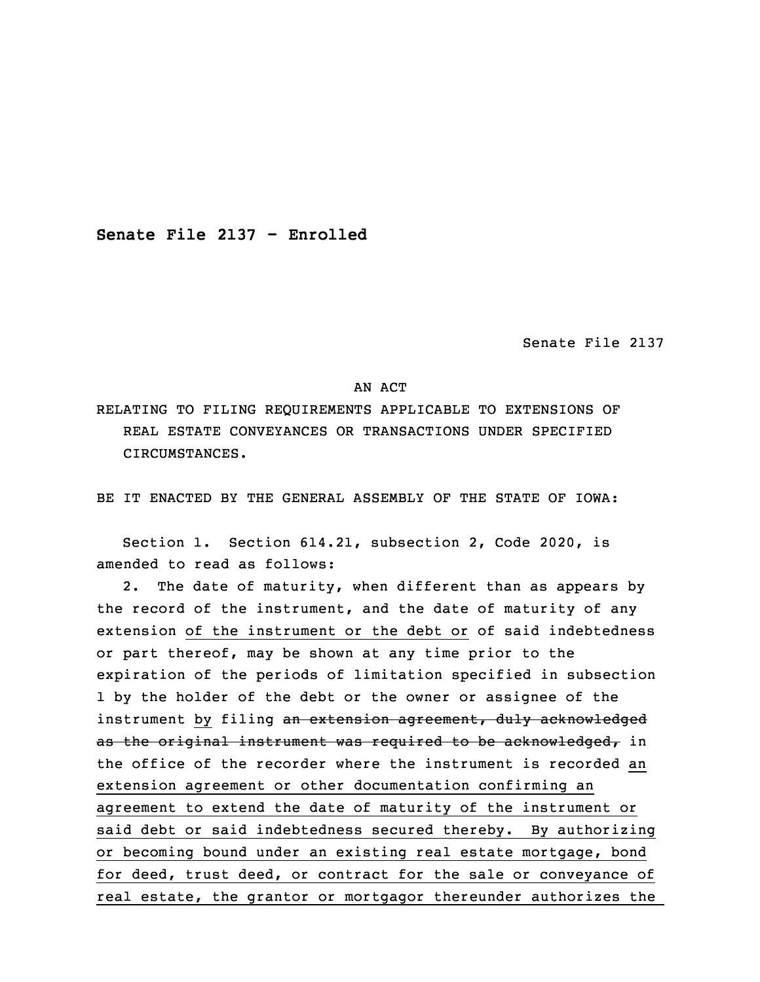**Senate File 2137 - Enrolled**

Senate File 2137

## AN ACT

RELATING TO FILING REQUIREMENTS APPLICABLE TO EXTENSIONS OF REAL ESTATE CONVEYANCES OR TRANSACTIONS UNDER SPECIFIED CIRCUMSTANCES.

BE IT ENACTED BY THE GENERAL ASSEMBLY OF THE STATE OF IOWA:

 Section 1. Section 614.21, subsection 2, Code 2020, is amended to read as follows:

2. The date of maturity, when different than as appears by the record of the instrument, and the date of maturity of any extension of the instrument or the debt or of said indebtedness or part thereof, may be shown at any time prior to the expiration of the periods of limitation specified in subsection 1 by the holder of the debt or the owner or assignee of the instrument by filing an extension agreement, duly acknowledged as the original instrument was required to be acknowledged, in the office of the recorder where the instrument is recorded an extension agreement or other documentation confirming an agreement to extend the date of maturity of the instrument or said debt or said indebtedness secured thereby. By authorizing or becoming bound under an existing real estate mortgage, bond for deed, trust deed, or contract for the sale or conveyance of real estate, the grantor or mortgagor thereunder authorizes the